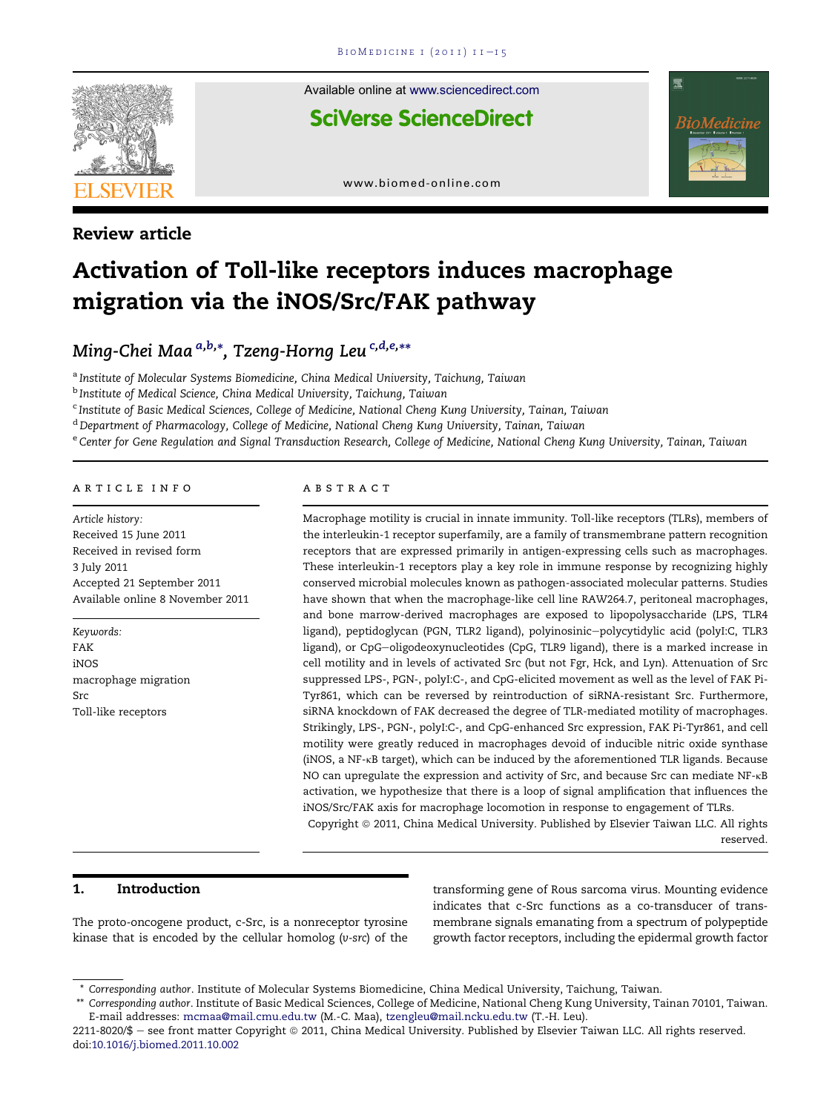

Review article

Available online at [www.sciencedirect.com](www.sciencedirect.com/science/journal/22118020)

**SciVerse ScienceDirect** 



[www.biomed-online.com](http://www.biomed-online.com)

# Activation of Toll-like receptors induces macrophage migration via the iNOS/Src/FAK pathway

Ming-Chei Maa <sup>a,b,</sup>\*, Tzeng-Horng Leu <sup>c,d,e,</sup>\*\*

<sup>a</sup> Institute of Molecular Systems Biomedicine, China Medical University, Taichung, Taiwan

<sup>b</sup> Institute of Medical Science, China Medical University, Taichung, Taiwan

<sup>c</sup> Institute of Basic Medical Sciences, College of Medicine, National Cheng Kung University, Tainan, Taiwan

<sup>d</sup> Department of Pharmacology, College of Medicine, National Cheng Kung University, Tainan, Taiwan

e Center for Gene Regulation and Signal Transduction Research, College of Medicine, National Cheng Kung University, Tainan, Taiwan

#### article info

Article history: Received 15 June 2011 Received in revised form 3 July 2011 Accepted 21 September 2011 Available online 8 November 2011

Keywords: FAK iNOS macrophage migration Src Toll-like receptors

#### ABSTRACT

Macrophage motility is crucial in innate immunity. Toll-like receptors (TLRs), members of the interleukin-1 receptor superfamily, are a family of transmembrane pattern recognition receptors that are expressed primarily in antigen-expressing cells such as macrophages. These interleukin-1 receptors play a key role in immune response by recognizing highly conserved microbial molecules known as pathogen-associated molecular patterns. Studies have shown that when the macrophage-like cell line RAW264.7, peritoneal macrophages, and bone marrow-derived macrophages are exposed to lipopolysaccharide (LPS, TLR4 ligand), peptidoglycan (PGN, TLR2 ligand), polyinosinic-polycytidylic acid (polyI:C, TLR3 ligand), or CpG-oligodeoxynucleotides (CpG, TLR9 ligand), there is a marked increase in cell motility and in levels of activated Src (but not Fgr, Hck, and Lyn). Attenuation of Src suppressed LPS-, PGN-, polyI:C-, and CpG-elicited movement as well as the level of FAK Pi-Tyr861, which can be reversed by reintroduction of siRNA-resistant Src. Furthermore, siRNA knockdown of FAK decreased the degree of TLR-mediated motility of macrophages. Strikingly, LPS-, PGN-, polyI:C-, and CpG-enhanced Src expression, FAK Pi-Tyr861, and cell motility were greatly reduced in macrophages devoid of inducible nitric oxide synthase (iNOS, a NF-kB target), which can be induced by the aforementioned TLR ligands. Because NO can upregulate the expression and activity of Src, and because Src can mediate NF-kB activation, we hypothesize that there is a loop of signal amplification that influences the iNOS/Src/FAK axis for macrophage locomotion in response to engagement of TLRs. Copyright © 2011, China Medical University. Published by Elsevier Taiwan LLC. All rights

reserved.

## 1. Introduction

The proto-oncogene product, c-Src, is a nonreceptor tyrosine kinase that is encoded by the cellular homolog (v-src) of the

transforming gene of Rous sarcoma virus. Mounting evidence indicates that c-Src functions as a co-transducer of transmembrane signals emanating from a spectrum of polypeptide growth factor receptors, including the epidermal growth factor

<sup>\*</sup> Corresponding author. Institute of Molecular Systems Biomedicine, China Medical University, Taichung, Taiwan.

<sup>\*\*</sup> Corresponding author. Institute of Basic Medical Sciences, College of Medicine, National Cheng Kung University, Tainan 70101, Taiwan. E-mail addresses: [mcmaa@mail.cmu.edu.tw](mailto:mcmaa@mail.cmu.edu.tw) (M.-C. Maa), [tzengleu@mail.ncku.edu.tw](mailto:tzengleu@mail.ncku.edu.tw) (T.-H. Leu).

<sup>2211-8020/\$ -</sup> see front matter Copyright @ 2011, China Medical University. Published by Elsevier Taiwan LLC. All rights reserved. doi[:10.1016/j.biomed.2011.10.002](http://dx.doi.org/10.1016/j.biomed.2011.10.002)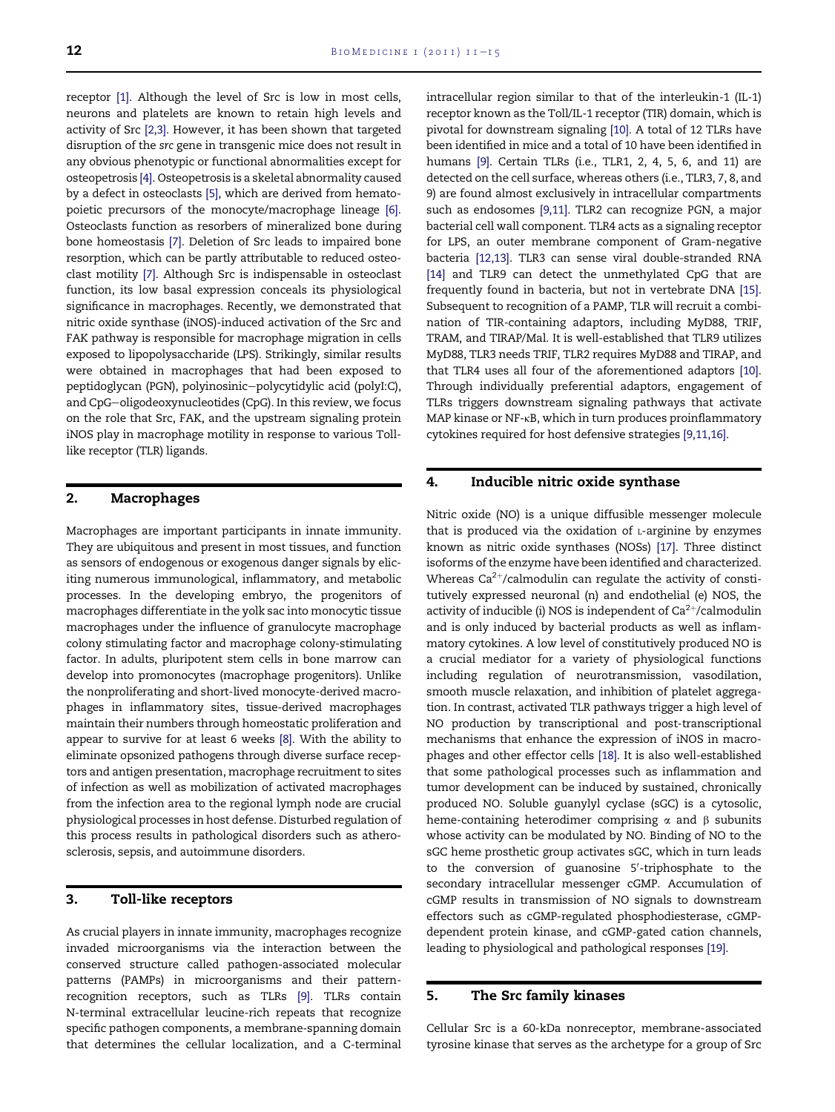receptor [\[1\]](#page-4-0). Although the level of Src is low in most cells, neurons and platelets are known to retain high levels and activity of Src [\[2,3\].](#page-4-0) However, it has been shown that targeted disruption of the src gene in transgenic mice does not result in any obvious phenotypic or functional abnormalities except for osteopetrosis [\[4\].](#page-4-0) Osteopetrosis is a skeletal abnormality caused by a defect in osteoclasts [\[5\],](#page-4-0) which are derived from hematopoietic precursors of the monocyte/macrophage lineage [\[6\]](#page-4-0). Osteoclasts function as resorbers of mineralized bone during bone homeostasis [\[7\].](#page-4-0) Deletion of Src leads to impaired bone resorption, which can be partly attributable to reduced osteoclast motility [\[7\]](#page-4-0). Although Src is indispensable in osteoclast function, its low basal expression conceals its physiological significance in macrophages. Recently, we demonstrated that nitric oxide synthase (iNOS)-induced activation of the Src and FAK pathway is responsible for macrophage migration in cells exposed to lipopolysaccharide (LPS). Strikingly, similar results were obtained in macrophages that had been exposed to peptidoglycan (PGN), polyinosinic-polycytidylic acid (polyI:C), and CpG-oligodeoxynucleotides (CpG). In this review, we focus on the role that Src, FAK, and the upstream signaling protein iNOS play in macrophage motility in response to various Tolllike receptor (TLR) ligands.

## 2. Macrophages

Macrophages are important participants in innate immunity. They are ubiquitous and present in most tissues, and function as sensors of endogenous or exogenous danger signals by eliciting numerous immunological, inflammatory, and metabolic processes. In the developing embryo, the progenitors of macrophages differentiate in the yolk sac into monocytic tissue macrophages under the influence of granulocyte macrophage colony stimulating factor and macrophage colony-stimulating factor. In adults, pluripotent stem cells in bone marrow can develop into promonocytes (macrophage progenitors). Unlike the nonproliferating and short-lived monocyte-derived macrophages in inflammatory sites, tissue-derived macrophages maintain their numbers through homeostatic proliferation and appear to survive for at least 6 weeks [\[8\]](#page-4-0). With the ability to eliminate opsonized pathogens through diverse surface receptors and antigen presentation, macrophage recruitment to sites of infection as well as mobilization of activated macrophages from the infection area to the regional lymph node are crucial physiological processes in host defense. Disturbed regulation of this process results in pathological disorders such as atherosclerosis, sepsis, and autoimmune disorders.

#### 3. Toll-like receptors

As crucial players in innate immunity, macrophages recognize invaded microorganisms via the interaction between the conserved structure called pathogen-associated molecular patterns (PAMPs) in microorganisms and their patternrecognition receptors, such as TLRs [\[9\]](#page-4-0). TLRs contain N-terminal extracellular leucine-rich repeats that recognize specific pathogen components, a membrane-spanning domain that determines the cellular localization, and a C-terminal intracellular region similar to that of the interleukin-1 (IL-1) receptor known as the Toll/IL-1 receptor (TIR) domain, which is pivotal for downstream signaling [\[10\].](#page-4-0) A total of 12 TLRs have been identified in mice and a total of 10 have been identified in humans [\[9\]](#page-4-0). Certain TLRs (i.e., TLR1, 2, 4, 5, 6, and 11) are detected on the cell surface, whereas others (i.e., TLR3, 7, 8, and 9) are found almost exclusively in intracellular compartments such as endosomes [\[9,11\]](#page-4-0). TLR2 can recognize PGN, a major bacterial cell wall component. TLR4 acts as a signaling receptor for LPS, an outer membrane component of Gram-negative bacteria [\[12,13\].](#page-4-0) TLR3 can sense viral double-stranded RNA [\[14\]](#page-4-0) and TLR9 can detect the unmethylated CpG that are frequently found in bacteria, but not in vertebrate DNA [\[15\]](#page-4-0). Subsequent to recognition of a PAMP, TLR will recruit a combination of TIR-containing adaptors, including MyD88, TRIF, TRAM, and TIRAP/Mal. It is well-established that TLR9 utilizes MyD88, TLR3 needs TRIF, TLR2 requires MyD88 and TIRAP, and that TLR4 uses all four of the aforementioned adaptors [\[10\]](#page-4-0). Through individually preferential adaptors, engagement of TLRs triggers downstream signaling pathways that activate MAP kinase or NF-kB, which in turn produces proinflammatory cytokines required for host defensive strategies [\[9,11,16\]](#page-4-0).

#### 4. Inducible nitric oxide synthase

Nitric oxide (NO) is a unique diffusible messenger molecule that is produced via the oxidation of  $L$ -arginine by enzymes known as nitric oxide synthases (NOSs) [\[17\].](#page-4-0) Three distinct isoforms of the enzyme have been identified and characterized. Whereas  $Ca^{2+}/c$ almodulin can regulate the activity of constitutively expressed neuronal (n) and endothelial (e) NOS, the activity of inducible (i) NOS is independent of  $Ca^{2+}/cal$ calmodulin and is only induced by bacterial products as well as inflammatory cytokines. A low level of constitutively produced NO is a crucial mediator for a variety of physiological functions including regulation of neurotransmission, vasodilation, smooth muscle relaxation, and inhibition of platelet aggregation. In contrast, activated TLR pathways trigger a high level of NO production by transcriptional and post-transcriptional mechanisms that enhance the expression of iNOS in macrophages and other effector cells [\[18\]](#page-4-0). It is also well-established that some pathological processes such as inflammation and tumor development can be induced by sustained, chronically produced NO. Soluble guanylyl cyclase (sGC) is a cytosolic, heme-containing heterodimer comprising  $\alpha$  and  $\beta$  subunits whose activity can be modulated by NO. Binding of NO to the sGC heme prosthetic group activates sGC, which in turn leads to the conversion of guanosine 5'-triphosphate to the secondary intracellular messenger cGMP. Accumulation of cGMP results in transmission of NO signals to downstream effectors such as cGMP-regulated phosphodiesterase, cGMPdependent protein kinase, and cGMP-gated cation channels, leading to physiological and pathological responses [\[19\].](#page-4-0)

#### 5. The Src family kinases

Cellular Src is a 60-kDa nonreceptor, membrane-associated tyrosine kinase that serves as the archetype for a group of Src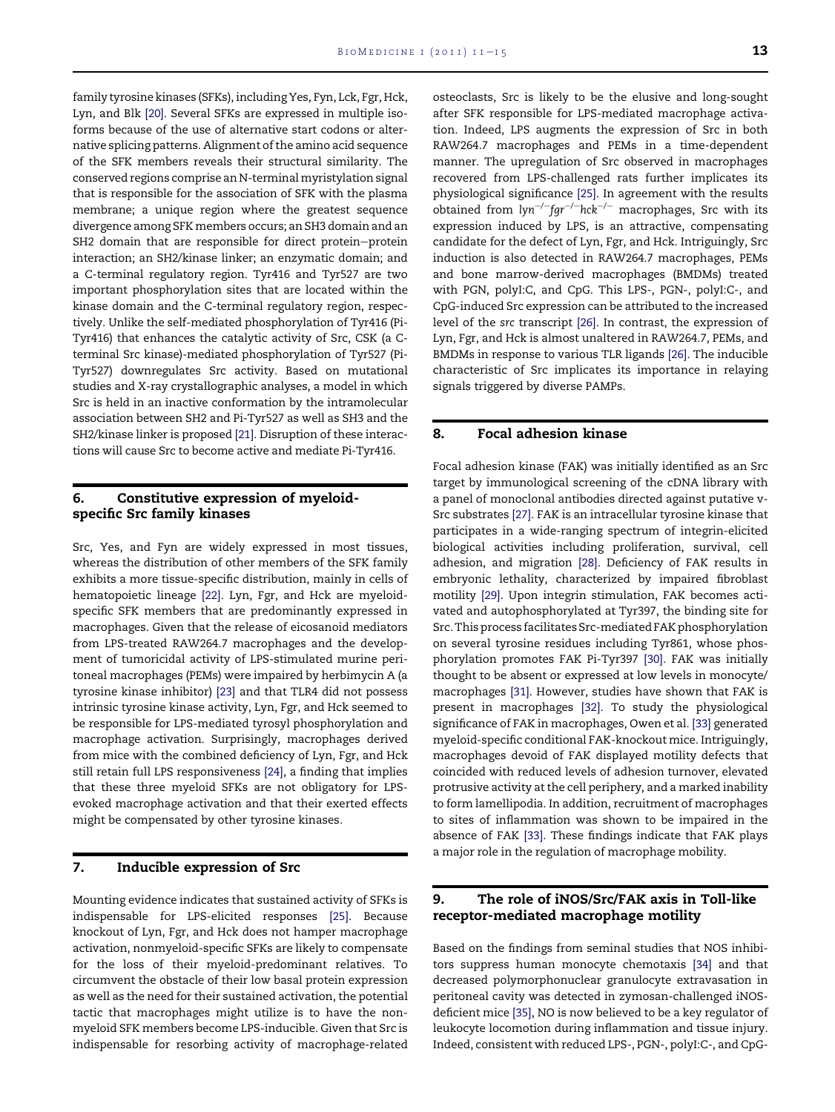family tyrosine kinases (SFKs), including Yes, Fyn, Lck, Fgr, Hck, Lyn, and Blk [\[20\].](#page-4-0) Several SFKs are expressed in multiple isoforms because of the use of alternative start codons or alternative splicing patterns. Alignment of the amino acid sequence of the SFK members reveals their structural similarity. The conserved regions comprise an N-terminal myristylation signal that is responsible for the association of SFK with the plasma membrane; a unique region where the greatest sequence divergence among SFK members occurs; an SH3 domain and an SH2 domain that are responsible for direct protein-protein interaction; an SH2/kinase linker; an enzymatic domain; and a C-terminal regulatory region. Tyr416 and Tyr527 are two important phosphorylation sites that are located within the kinase domain and the C-terminal regulatory region, respectively. Unlike the self-mediated phosphorylation of Tyr416 (Pi-Tyr416) that enhances the catalytic activity of Src, CSK (a Cterminal Src kinase)-mediated phosphorylation of Tyr527 (Pi-Tyr527) downregulates Src activity. Based on mutational studies and X-ray crystallographic analyses, a model in which Src is held in an inactive conformation by the intramolecular association between SH2 and Pi-Tyr527 as well as SH3 and the SH2/kinase linker is proposed [\[21\]](#page-4-0). Disruption of these interactions will cause Src to become active and mediate Pi-Tyr416.

## 6. Constitutive expression of myeloidspecific Src family kinases

Src, Yes, and Fyn are widely expressed in most tissues, whereas the distribution of other members of the SFK family exhibits a more tissue-specific distribution, mainly in cells of hematopoietic lineage [\[22\].](#page-4-0) Lyn, Fgr, and Hck are myeloidspecific SFK members that are predominantly expressed in macrophages. Given that the release of eicosanoid mediators from LPS-treated RAW264.7 macrophages and the development of tumoricidal activity of LPS-stimulated murine peritoneal macrophages (PEMs) were impaired by herbimycin A (a tyrosine kinase inhibitor) [\[23\]](#page-4-0) and that TLR4 did not possess intrinsic tyrosine kinase activity, Lyn, Fgr, and Hck seemed to be responsible for LPS-mediated tyrosyl phosphorylation and macrophage activation. Surprisingly, macrophages derived from mice with the combined deficiency of Lyn, Fgr, and Hck still retain full LPS responsiveness [\[24\]](#page-4-0), a finding that implies that these three myeloid SFKs are not obligatory for LPSevoked macrophage activation and that their exerted effects might be compensated by other tyrosine kinases.

## 7. Inducible expression of Src

Mounting evidence indicates that sustained activity of SFKs is indispensable for LPS-elicited responses [\[25\].](#page-4-0) Because knockout of Lyn, Fgr, and Hck does not hamper macrophage activation, nonmyeloid-specific SFKs are likely to compensate for the loss of their myeloid-predominant relatives. To circumvent the obstacle of their low basal protein expression as well as the need for their sustained activation, the potential tactic that macrophages might utilize is to have the nonmyeloid SFK members become LPS-inducible. Given that Src is indispensable for resorbing activity of macrophage-related osteoclasts, Src is likely to be the elusive and long-sought after SFK responsible for LPS-mediated macrophage activation. Indeed, LPS augments the expression of Src in both RAW264.7 macrophages and PEMs in a time-dependent manner. The upregulation of Src observed in macrophages recovered from LPS-challenged rats further implicates its physiological significance [\[25\]](#page-4-0). In agreement with the results obtained from  $lyn^{-/-}$ fgr<sup>-/-</sup>hck<sup>-/-</sup> macrophages, Src with its expression induced by LPS, is an attractive, compensating candidate for the defect of Lyn, Fgr, and Hck. Intriguingly, Src induction is also detected in RAW264.7 macrophages, PEMs and bone marrow-derived macrophages (BMDMs) treated with PGN, polyI:C, and CpG. This LPS-, PGN-, polyI:C-, and CpG-induced Src expression can be attributed to the increased level of the src transcript [\[26\]](#page-4-0). In contrast, the expression of Lyn, Fgr, and Hck is almost unaltered in RAW264.7, PEMs, and BMDMs in response to various TLR ligands [\[26\]](#page-4-0). The inducible characteristic of Src implicates its importance in relaying signals triggered by diverse PAMPs.

## 8. Focal adhesion kinase

Focal adhesion kinase (FAK) was initially identified as an Src target by immunological screening of the cDNA library with a panel of monoclonal antibodies directed against putative v-Src substrates [\[27\].](#page-4-0) FAK is an intracellular tyrosine kinase that participates in a wide-ranging spectrum of integrin-elicited biological activities including proliferation, survival, cell adhesion, and migration [\[28\]](#page-4-0). Deficiency of FAK results in embryonic lethality, characterized by impaired fibroblast motility [\[29\]](#page-4-0). Upon integrin stimulation, FAK becomes activated and autophosphorylated at Tyr397, the binding site for Src. This process facilitates Src-mediated FAK phosphorylation on several tyrosine residues including Tyr861, whose phosphorylation promotes FAK Pi-Tyr397 [\[30\]](#page-4-0). FAK was initially thought to be absent or expressed at low levels in monocyte/ macrophages [\[31\].](#page-4-0) However, studies have shown that FAK is present in macrophages [\[32\]](#page-4-0). To study the physiological significance of FAK in macrophages, Owen et al. [\[33\]](#page-4-0) generated myeloid-specific conditional FAK-knockout mice. Intriguingly, macrophages devoid of FAK displayed motility defects that coincided with reduced levels of adhesion turnover, elevated protrusive activity at the cell periphery, and a marked inability to form lamellipodia. In addition, recruitment of macrophages to sites of inflammation was shown to be impaired in the absence of FAK [\[33\].](#page-4-0) These findings indicate that FAK plays a major role in the regulation of macrophage mobility.

## 9. The role of iNOS/Src/FAK axis in Toll-like receptor-mediated macrophage motility

Based on the findings from seminal studies that NOS inhibitors suppress human monocyte chemotaxis [\[34\]](#page-4-0) and that decreased polymorphonuclear granulocyte extravasation in peritoneal cavity was detected in zymosan-challenged iNOSdeficient mice [\[35\]](#page-4-0), NO is now believed to be a key regulator of leukocyte locomotion during inflammation and tissue injury. Indeed, consistent with reduced LPS-, PGN-, polyI:C-, and CpG-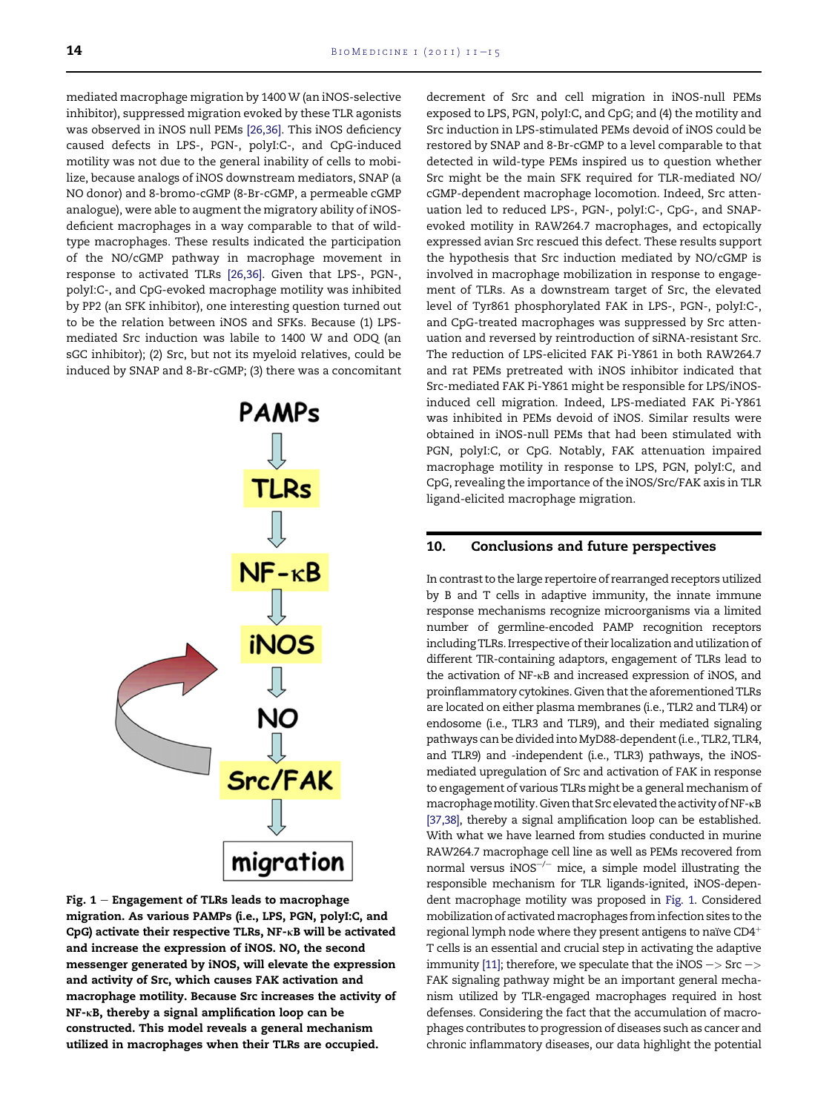mediated macrophage migration by 1400 W (an iNOS-selective inhibitor), suppressed migration evoked by these TLR agonists was observed in iNOS null PEMs [\[26,36\].](#page-4-0) This iNOS deficiency caused defects in LPS-, PGN-, polyI:C-, and CpG-induced motility was not due to the general inability of cells to mobilize, because analogs of iNOS downstream mediators, SNAP (a NO donor) and 8-bromo-cGMP (8-Br-cGMP, a permeable cGMP analogue), were able to augment the migratory ability of iNOSdeficient macrophages in a way comparable to that of wildtype macrophages. These results indicated the participation of the NO/cGMP pathway in macrophage movement in response to activated TLRs [\[26,36\]](#page-4-0). Given that LPS-, PGN-, polyI:C-, and CpG-evoked macrophage motility was inhibited by PP2 (an SFK inhibitor), one interesting question turned out to be the relation between iNOS and SFKs. Because (1) LPSmediated Src induction was labile to 1400 W and ODQ (an sGC inhibitor); (2) Src, but not its myeloid relatives, could be induced by SNAP and 8-Br-cGMP; (3) there was a concomitant



Fig.  $1$  – Engagement of TLRs leads to macrophage migration. As various PAMPs (i.e., LPS, PGN, polyI:C, and CpG) activate their respective TLRs, NF-KB will be activated and increase the expression of iNOS. NO, the second messenger generated by iNOS, will elevate the expression and activity of Src, which causes FAK activation and macrophage motility. Because Src increases the activity of NF-kB, thereby a signal amplification loop can be constructed. This model reveals a general mechanism utilized in macrophages when their TLRs are occupied.

decrement of Src and cell migration in iNOS-null PEMs exposed to LPS, PGN, polyI:C, and CpG; and (4) the motility and Src induction in LPS-stimulated PEMs devoid of iNOS could be restored by SNAP and 8-Br-cGMP to a level comparable to that detected in wild-type PEMs inspired us to question whether Src might be the main SFK required for TLR-mediated NO/ cGMP-dependent macrophage locomotion. Indeed, Src attenuation led to reduced LPS-, PGN-, polyI:C-, CpG-, and SNAPevoked motility in RAW264.7 macrophages, and ectopically expressed avian Src rescued this defect. These results support the hypothesis that Src induction mediated by NO/cGMP is involved in macrophage mobilization in response to engagement of TLRs. As a downstream target of Src, the elevated level of Tyr861 phosphorylated FAK in LPS-, PGN-, polyI:C-, and CpG-treated macrophages was suppressed by Src attenuation and reversed by reintroduction of siRNA-resistant Src. The reduction of LPS-elicited FAK Pi-Y861 in both RAW264.7 and rat PEMs pretreated with iNOS inhibitor indicated that Src-mediated FAK Pi-Y861 might be responsible for LPS/iNOSinduced cell migration. Indeed, LPS-mediated FAK Pi-Y861 was inhibited in PEMs devoid of iNOS. Similar results were obtained in iNOS-null PEMs that had been stimulated with PGN, polyI:C, or CpG. Notably, FAK attenuation impaired macrophage motility in response to LPS, PGN, polyI:C, and CpG, revealing the importance of the iNOS/Src/FAK axis in TLR ligand-elicited macrophage migration.

## 10. Conclusions and future perspectives

In contrast to the large repertoire of rearranged receptors utilized by B and T cells in adaptive immunity, the innate immune response mechanisms recognize microorganisms via a limited number of germline-encoded PAMP recognition receptors including TLRs. Irrespective of their localization and utilization of different TIR-containing adaptors, engagement of TLRs lead to the activation of NF-kB and increased expression of iNOS, and proinflammatory cytokines. Given that the aforementioned TLRs are located on either plasma membranes (i.e., TLR2 and TLR4) or endosome (i.e., TLR3 and TLR9), and their mediated signaling pathways can be divided into MyD88-dependent (i.e., TLR2, TLR4, and TLR9) and -independent (i.e., TLR3) pathways, the iNOSmediated upregulation of Src and activation of FAK in response to engagement of various TLRs might be a general mechanism of macrophage motility. Given that Src elevated the activity of NF- $\kappa B$ [\[37,38\],](#page-4-0) thereby a signal amplification loop can be established. With what we have learned from studies conducted in murine RAW264.7 macrophage cell line as well as PEMs recovered from normal versus iNOS $^{-/-}$  mice, a simple model illustrating the responsible mechanism for TLR ligands-ignited, iNOS-dependent macrophage motility was proposed in Fig. 1. Considered mobilization of activatedmacrophages from infection sites to the regional lymph node where they present antigens to naïve  $CD4^+$ T cells is an essential and crucial step in activating the adaptive immunity [\[11\]](#page-4-0); therefore, we speculate that the iNOS  $\rightarrow$  Src  $\rightarrow$ FAK signaling pathway might be an important general mechanism utilized by TLR-engaged macrophages required in host defenses. Considering the fact that the accumulation of macrophages contributes to progression of diseases such as cancer and chronic inflammatory diseases, our data highlight the potential